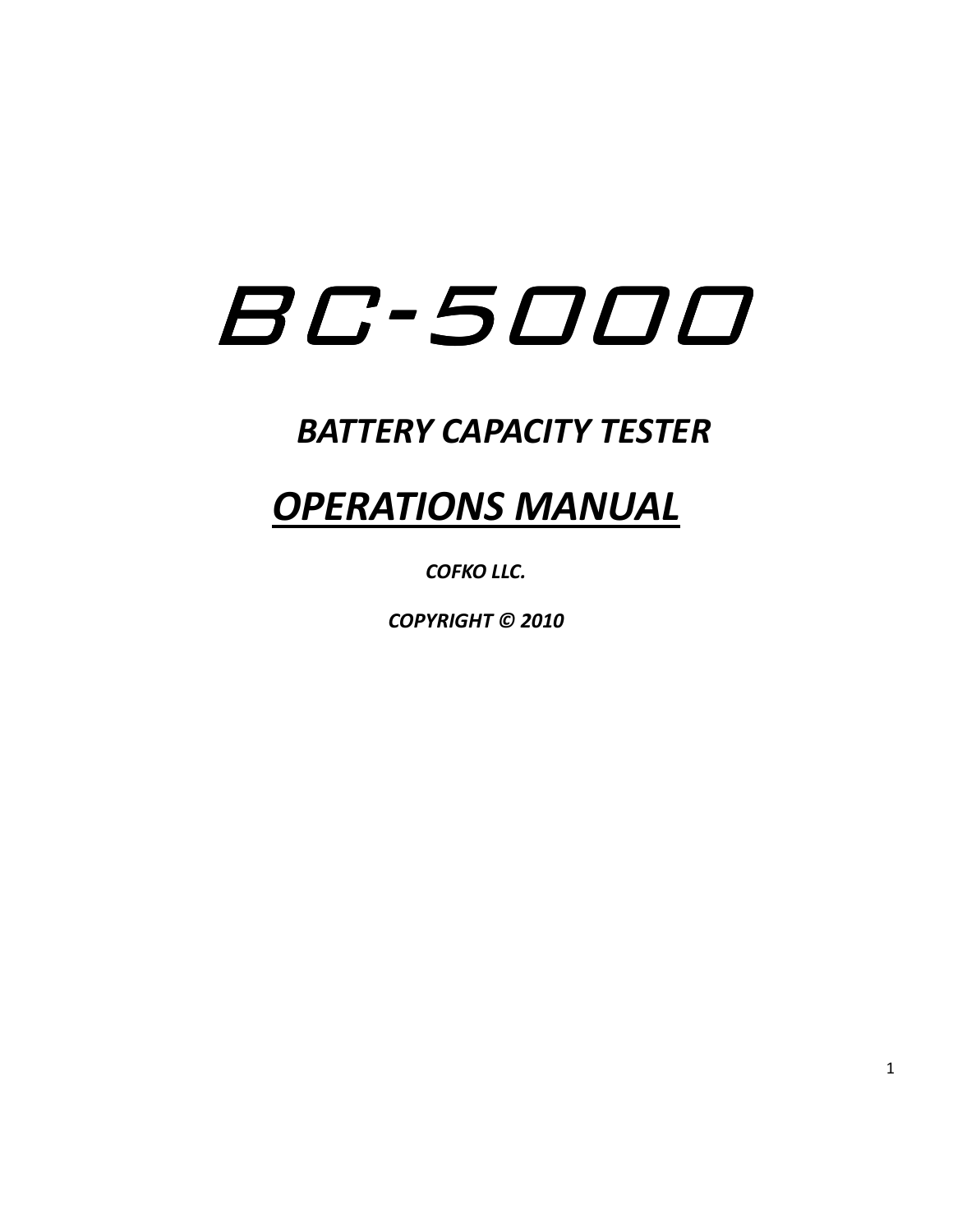# BC-5000

### *BATTERY CAPACITY TESTER*

## *OPERATIONS MANUAL*

*COFKO LLC.* 

*COPYRIGHT © 2010*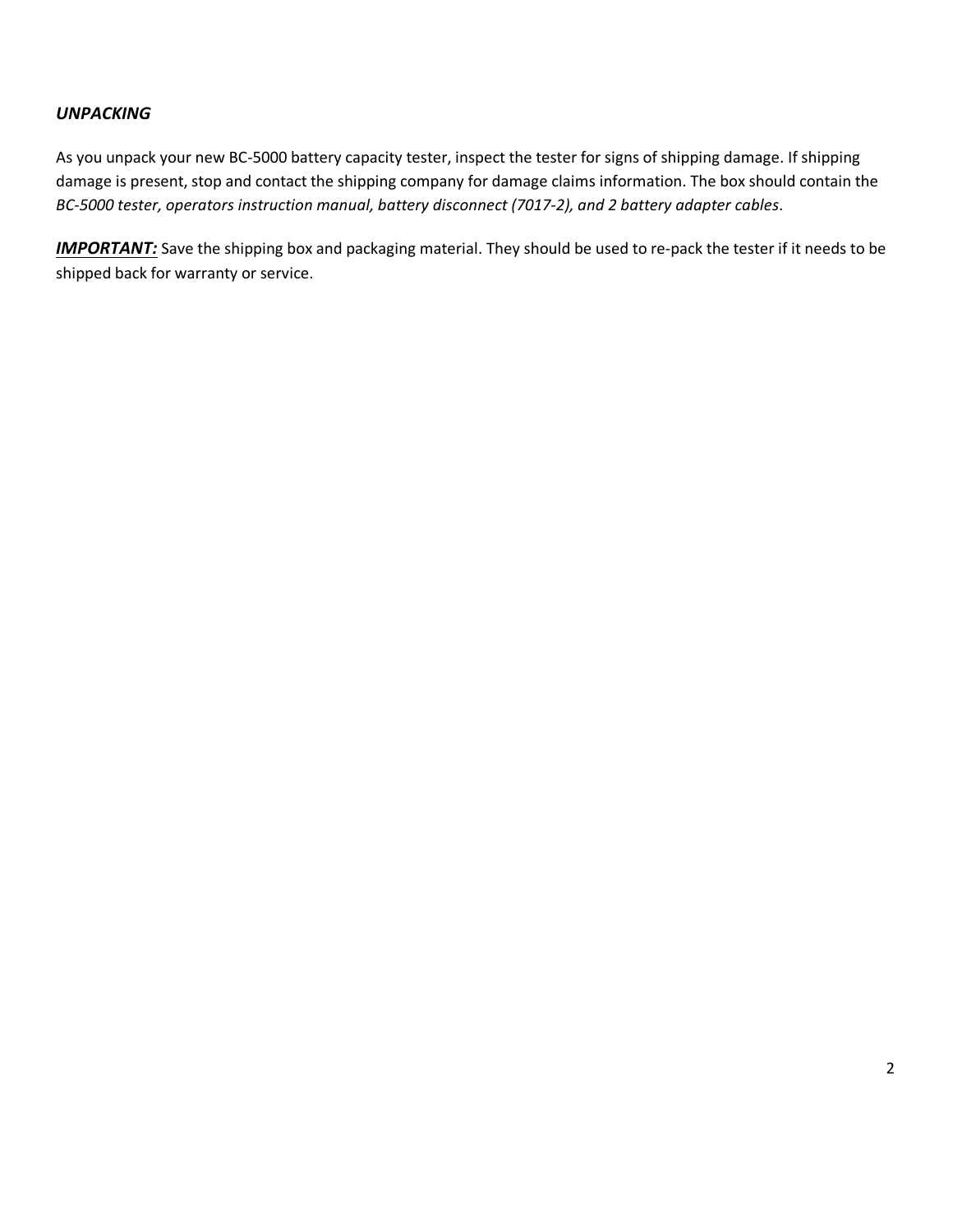### *UNPACKING*

As you unpack your new BC-5000 battery capacity tester, inspect the tester for signs of shipping damage. If shipping damage is present, stop and contact the shipping company for damage claims information. The box should contain the *BC-5000 tester, operators instruction manual, battery disconnect (7017-2), and 2 battery adapter cables*.

*IMPORTANT:* Save the shipping box and packaging material. They should be used to re-pack the tester if it needs to be shipped back for warranty or service.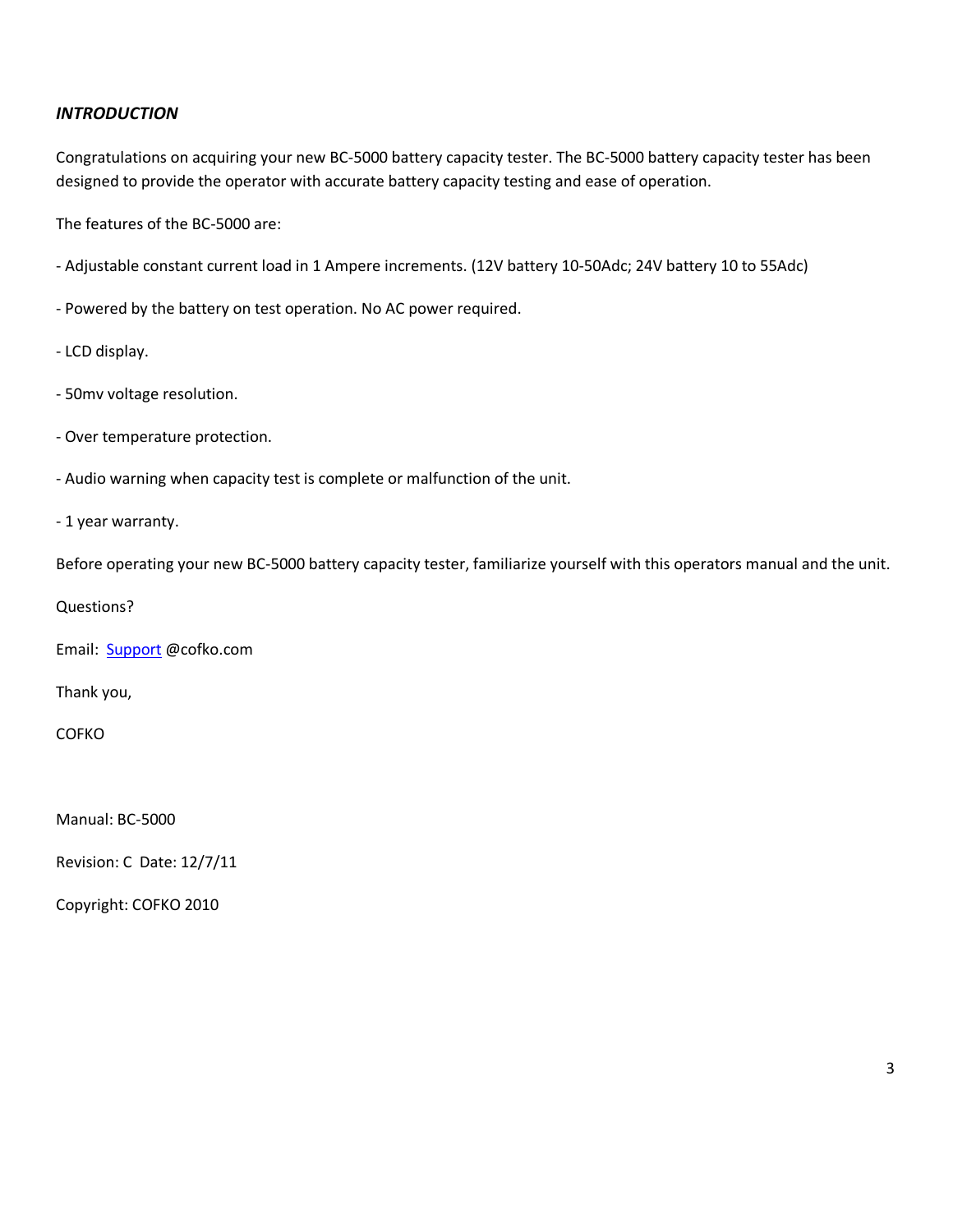### *INTRODUCTION*

Congratulations on acquiring your new BC-5000 battery capacity tester. The BC-5000 battery capacity tester has been designed to provide the operator with accurate battery capacity testing and ease of operation.

The features of the BC-5000 are:

- Adjustable constant current load in 1 Ampere increments. (12V battery 10-50Adc; 24V battery 10 to 55Adc)

- Powered by the battery on test operation. No AC power required.

- LCD display.
- 50mv voltage resolution.
- Over temperature protection.
- Audio warning when capacity test is complete or malfunction of the unit.
- 1 year warranty.

Before operating your new BC-5000 battery capacity tester, familiarize yourself with this operators manual and the unit.

Questions?

Email: Support @cofko.com

Thank you,

COFKO

Manual: BC-5000

Revision: C Date: 12/7/11

Copyright: COFKO 2010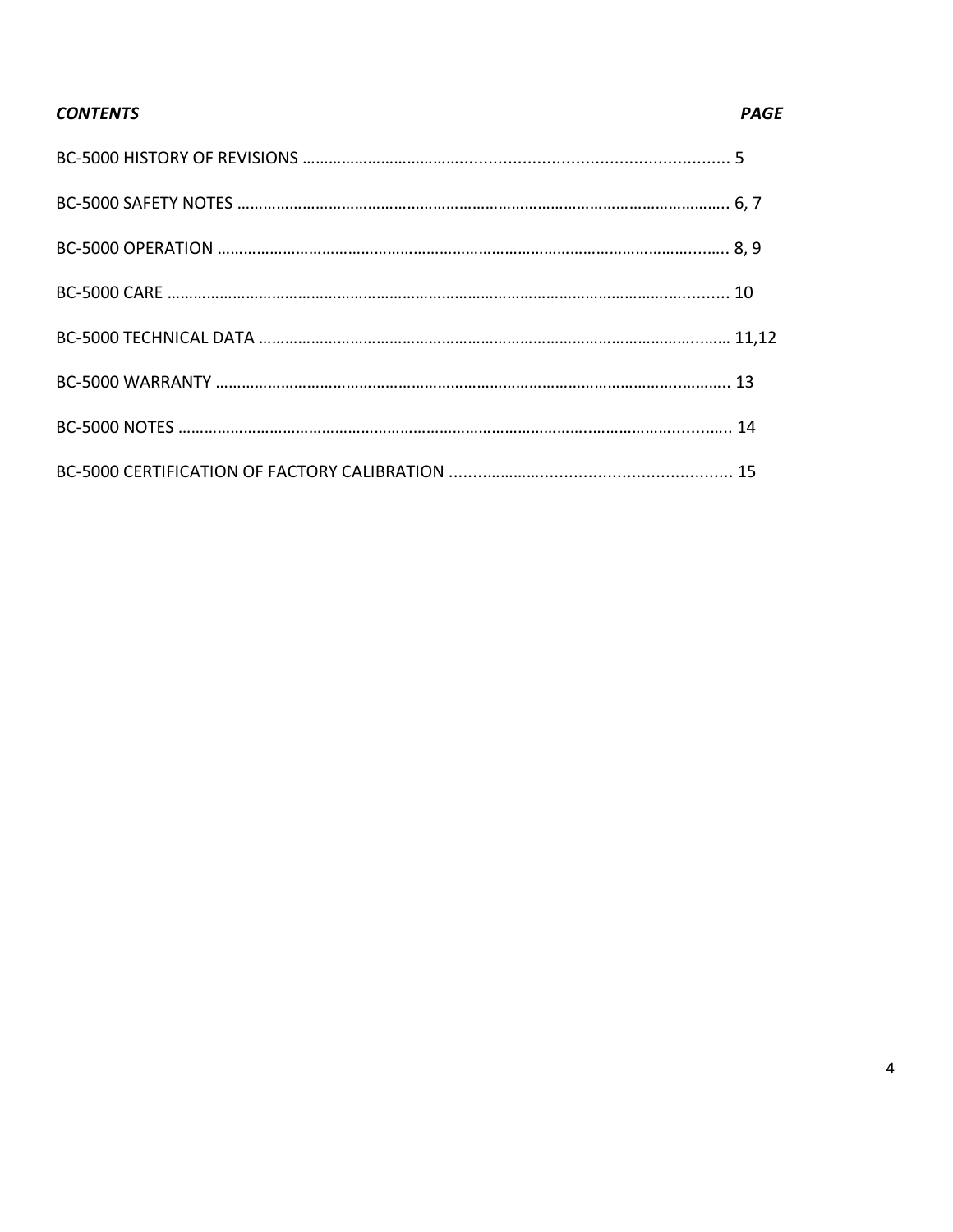### *CONTENTS PAGE*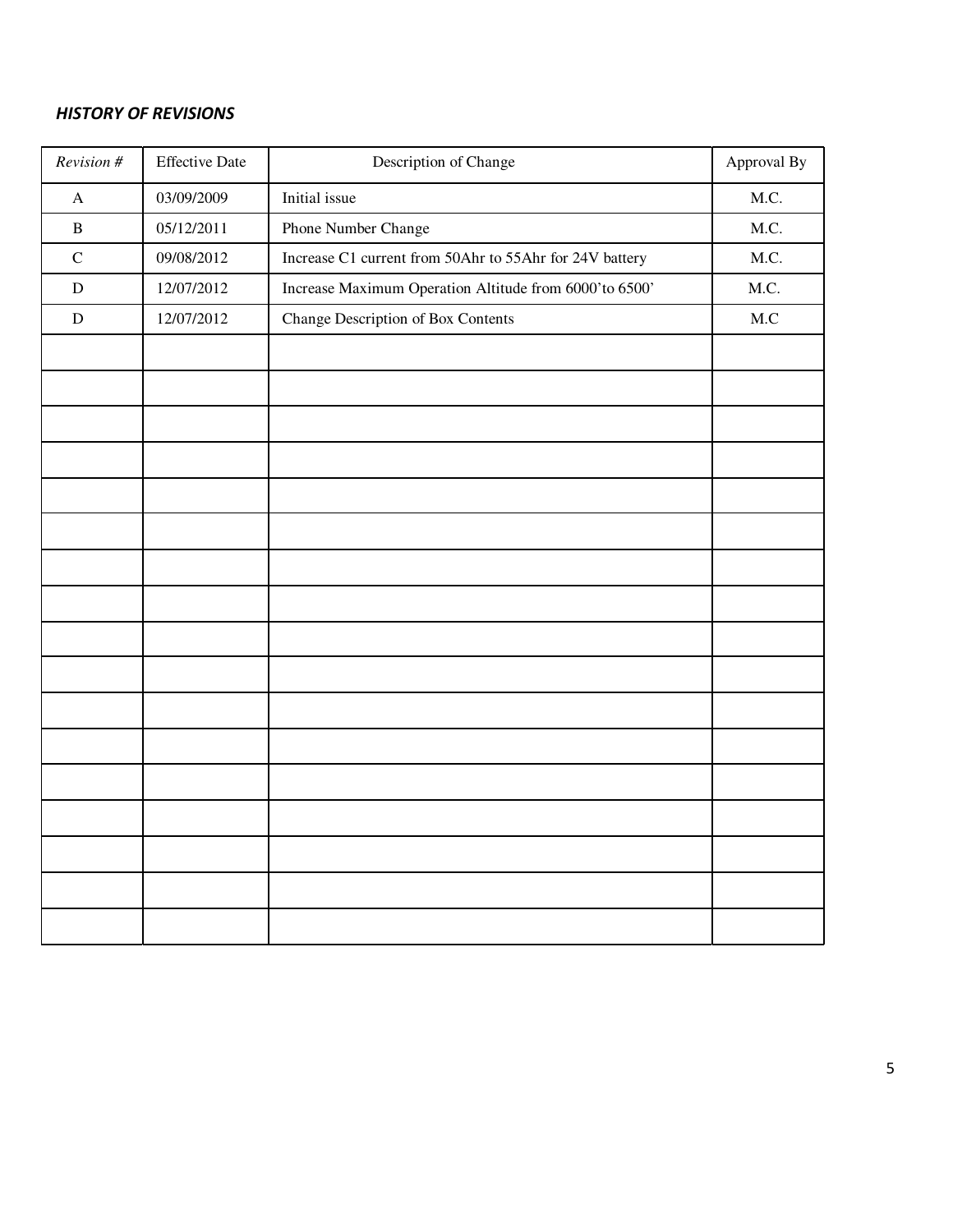### *HISTORY OF REVISIONS*

| Revision #            | <b>Effective Date</b> | Description of Change                                   | Approval By |
|-----------------------|-----------------------|---------------------------------------------------------|-------------|
| $\boldsymbol{\rm{A}}$ | 03/09/2009            | Initial issue                                           | M.C.        |
| $\, {\bf B}$          | 05/12/2011            | Phone Number Change                                     | M.C.        |
| ${\bf C}$             | 09/08/2012            | Increase C1 current from 50Ahr to 55Ahr for 24V battery | M.C.        |
| ${\bf D}$             | 12/07/2012            | Increase Maximum Operation Altitude from 6000'to 6500'  | M.C.        |
| ${\bf D}$             | 12/07/2012            | Change Description of Box Contents                      | M.C         |
|                       |                       |                                                         |             |
|                       |                       |                                                         |             |
|                       |                       |                                                         |             |
|                       |                       |                                                         |             |
|                       |                       |                                                         |             |
|                       |                       |                                                         |             |
|                       |                       |                                                         |             |
|                       |                       |                                                         |             |
|                       |                       |                                                         |             |
|                       |                       |                                                         |             |
|                       |                       |                                                         |             |
|                       |                       |                                                         |             |
|                       |                       |                                                         |             |
|                       |                       |                                                         |             |
|                       |                       |                                                         |             |
|                       |                       |                                                         |             |
|                       |                       |                                                         |             |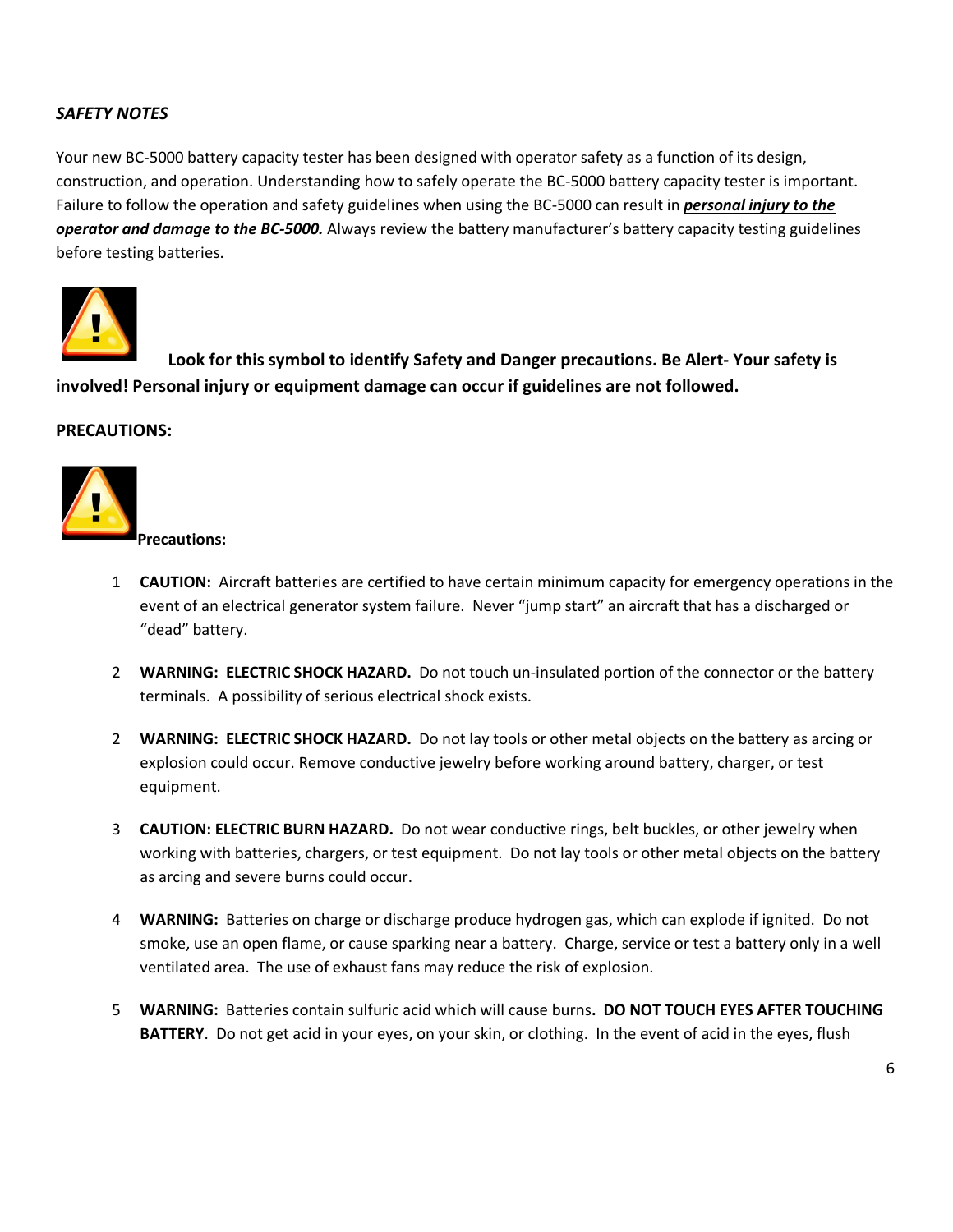### *SAFETY NOTES*

Your new BC-5000 battery capacity tester has been designed with operator safety as a function of its design, construction, and operation. Understanding how to safely operate the BC-5000 battery capacity tester is important. Failure to follow the operation and safety guidelines when using the BC-5000 can result in *personal injury to the operator and damage to the BC-5000.* Always review the battery manufacturer's battery capacity testing guidelines before testing batteries.



 **Look for this symbol to identify Safety and Danger precautions. Be Alert- Your safety is involved! Personal injury or equipment damage can occur if guidelines are not followed.** 

### **PRECAUTIONS:**



1 **CAUTION:** Aircraft batteries are certified to have certain minimum capacity for emergency operations in the event of an electrical generator system failure. Never "jump start" an aircraft that has a discharged or "dead" battery.

- 2 **WARNING: ELECTRIC SHOCK HAZARD.** Do not touch un-insulated portion of the connector or the battery terminals. A possibility of serious electrical shock exists.
- 2 **WARNING: ELECTRIC SHOCK HAZARD.** Do not lay tools or other metal objects on the battery as arcing or explosion could occur. Remove conductive jewelry before working around battery, charger, or test equipment.
- 3 **CAUTION: ELECTRIC BURN HAZARD.** Do not wear conductive rings, belt buckles, or other jewelry when working with batteries, chargers, or test equipment. Do not lay tools or other metal objects on the battery as arcing and severe burns could occur.
- 4 **WARNING:** Batteries on charge or discharge produce hydrogen gas, which can explode if ignited. Do not smoke, use an open flame, or cause sparking near a battery. Charge, service or test a battery only in a well ventilated area. The use of exhaust fans may reduce the risk of explosion.
- 5 **WARNING:** Batteries contain sulfuric acid which will cause burns**. DO NOT TOUCH EYES AFTER TOUCHING BATTERY**. Do not get acid in your eyes, on your skin, or clothing. In the event of acid in the eyes, flush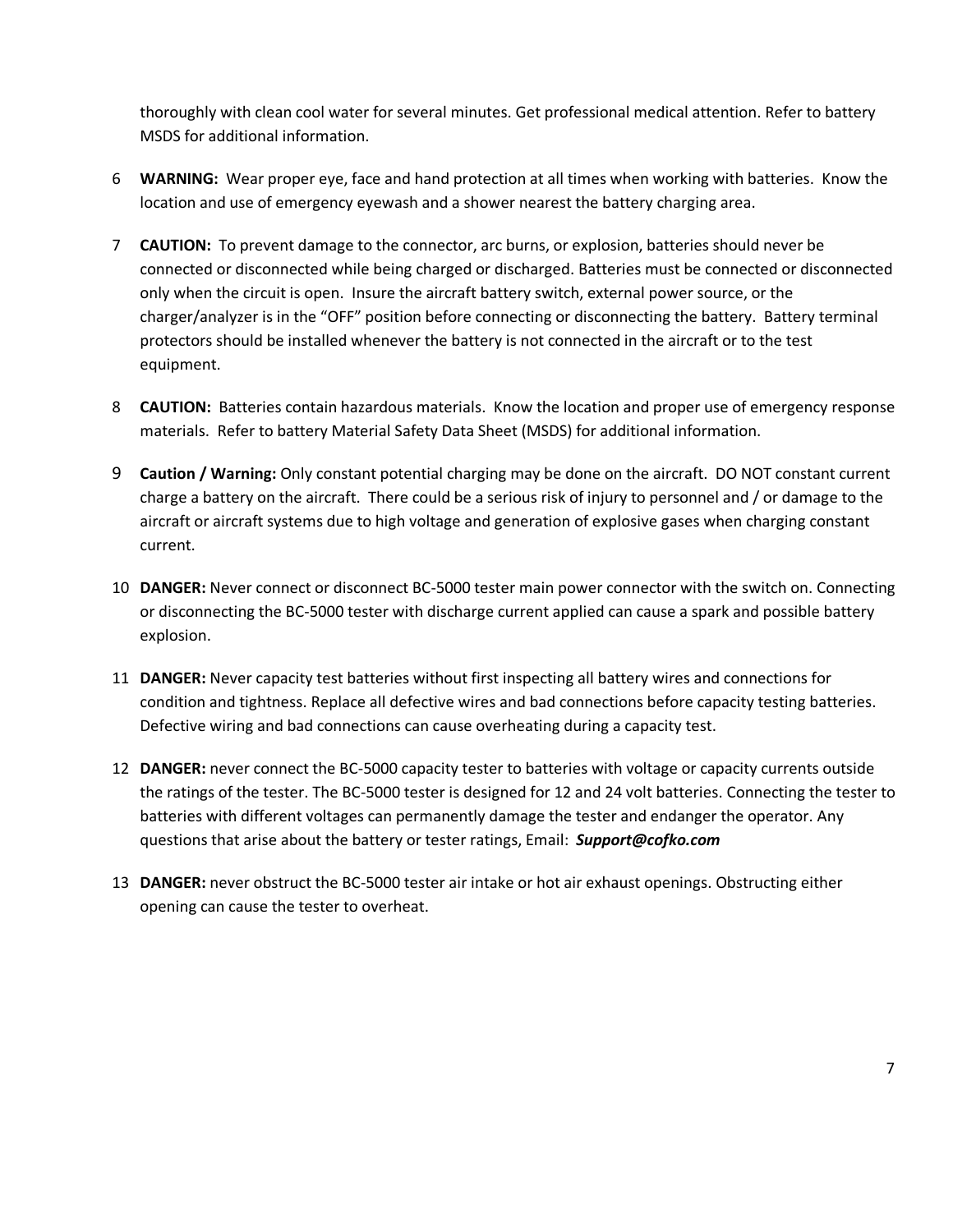thoroughly with clean cool water for several minutes. Get professional medical attention. Refer to battery MSDS for additional information.

- 6 **WARNING:** Wear proper eye, face and hand protection at all times when working with batteries. Know the location and use of emergency eyewash and a shower nearest the battery charging area.
- 7 **CAUTION:** To prevent damage to the connector, arc burns, or explosion, batteries should never be connected or disconnected while being charged or discharged. Batteries must be connected or disconnected only when the circuit is open. Insure the aircraft battery switch, external power source, or the charger/analyzer is in the "OFF" position before connecting or disconnecting the battery. Battery terminal protectors should be installed whenever the battery is not connected in the aircraft or to the test equipment.
- 8 **CAUTION:** Batteries contain hazardous materials. Know the location and proper use of emergency response materials. Refer to battery Material Safety Data Sheet (MSDS) for additional information.
- 9 **Caution / Warning:** Only constant potential charging may be done on the aircraft. DO NOT constant current charge a battery on the aircraft. There could be a serious risk of injury to personnel and / or damage to the aircraft or aircraft systems due to high voltage and generation of explosive gases when charging constant current.
- 10 **DANGER:** Never connect or disconnect BC-5000 tester main power connector with the switch on. Connecting or disconnecting the BC-5000 tester with discharge current applied can cause a spark and possible battery explosion.
- 11 **DANGER:** Never capacity test batteries without first inspecting all battery wires and connections for condition and tightness. Replace all defective wires and bad connections before capacity testing batteries. Defective wiring and bad connections can cause overheating during a capacity test.
- 12 **DANGER:** never connect the BC-5000 capacity tester to batteries with voltage or capacity currents outside the ratings of the tester. The BC-5000 tester is designed for 12 and 24 volt batteries. Connecting the tester to batteries with different voltages can permanently damage the tester and endanger the operator. Any questions that arise about the battery or tester ratings, Email: *Support@cofko.com*
- 13 **DANGER:** never obstruct the BC-5000 tester air intake or hot air exhaust openings. Obstructing either opening can cause the tester to overheat.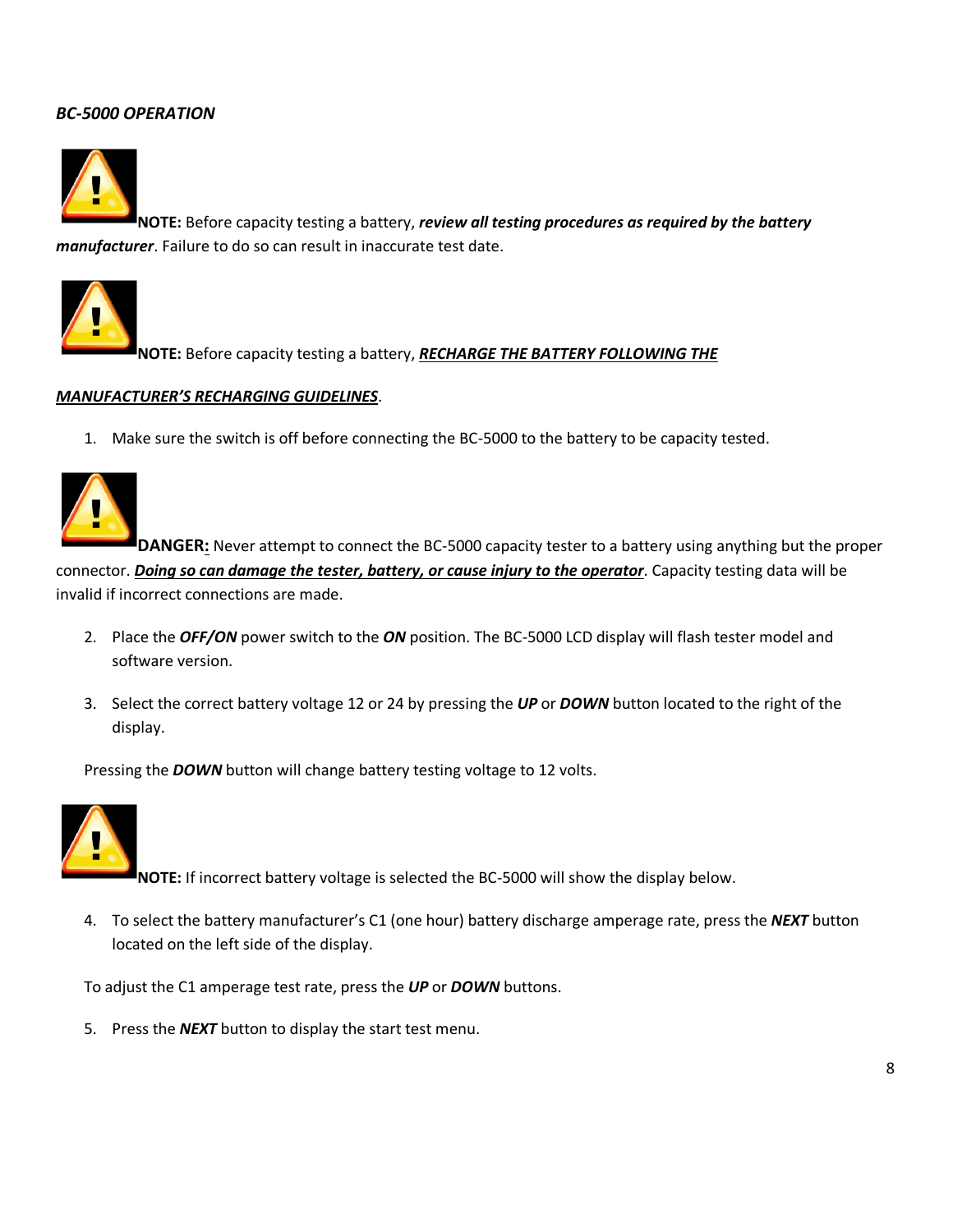### *BC-5000 OPERATION*



**NOTE:** Before capacity testing a battery, *review all testing procedures as required by the battery manufacturer*. Failure to do so can result in inaccurate test date.



**NOTE:** Before capacity testing a battery, *RECHARGE THE BATTERY FOLLOWING THE*

#### *MANUFACTURER'S RECHARGING GUIDELINES*.

1. Make sure the switch is off before connecting the BC-5000 to the battery to be capacity tested.



**DANGER:** Never attempt to connect the BC-5000 capacity tester to a battery using anything but the proper connector. *Doing so can damage the tester, battery, or cause injury to the operator*. Capacity testing data will be invalid if incorrect connections are made.

- 2. Place the *OFF/ON* power switch to the *ON* position. The BC-5000 LCD display will flash tester model and software version.
- 3. Select the correct battery voltage 12 or 24 by pressing the *UP* or *DOWN* button located to the right of the display.

Pressing the *DOWN* button will change battery testing voltage to 12 volts.



**NOTE:** If incorrect battery voltage is selected the BC-5000 will show the display below.

4. To select the battery manufacturer's C1 (one hour) battery discharge amperage rate, press the *NEXT* button located on the left side of the display.

To adjust the C1 amperage test rate, press the *UP* or *DOWN* buttons.

5. Press the *NEXT* button to display the start test menu.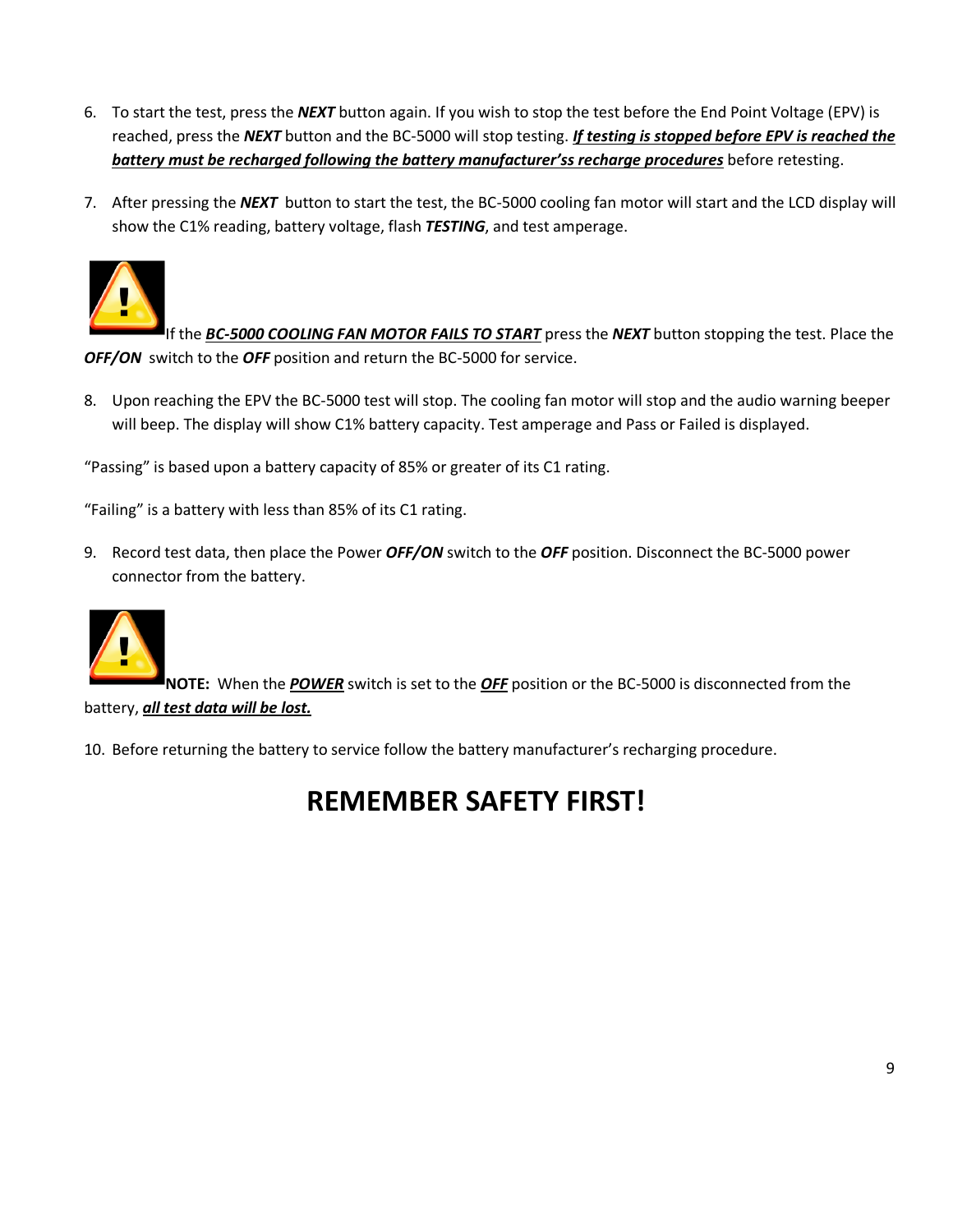- 6. To start the test, press the *NEXT* button again. If you wish to stop the test before the End Point Voltage (EPV) is reached, press the *NEXT* button and the BC-5000 will stop testing. *If testing is stopped before EPV is reached the battery must be recharged following the battery manufacturer'ss recharge procedures* before retesting.
- 7. After pressing the *NEXT* button to start the test, the BC-5000 cooling fan motor will start and the LCD display will show the C1% reading, battery voltage, flash *TESTING*, and test amperage.



If the *BC-5000 COOLING FAN MOTOR FAILS TO START* press the *NEXT* button stopping the test. Place the *OFF/ON* switch to the *OFF* position and return the BC-5000 for service.

8. Upon reaching the EPV the BC-5000 test will stop. The cooling fan motor will stop and the audio warning beeper will beep. The display will show C1% battery capacity. Test amperage and Pass or Failed is displayed.

"Passing" is based upon a battery capacity of 85% or greater of its C1 rating.

"Failing" is a battery with less than 85% of its C1 rating.

9. Record test data, then place the Power *OFF/ON* switch to the *OFF* position. Disconnect the BC-5000 power connector from the battery.



**NOTE:** When the *POWER* switch is set to the *OFF* position or the BC-5000 is disconnected from the battery, *all test data will be lost.*

10. Before returning the battery to service follow the battery manufacturer's recharging procedure.

### **REMEMBER SAFETY FIRST!**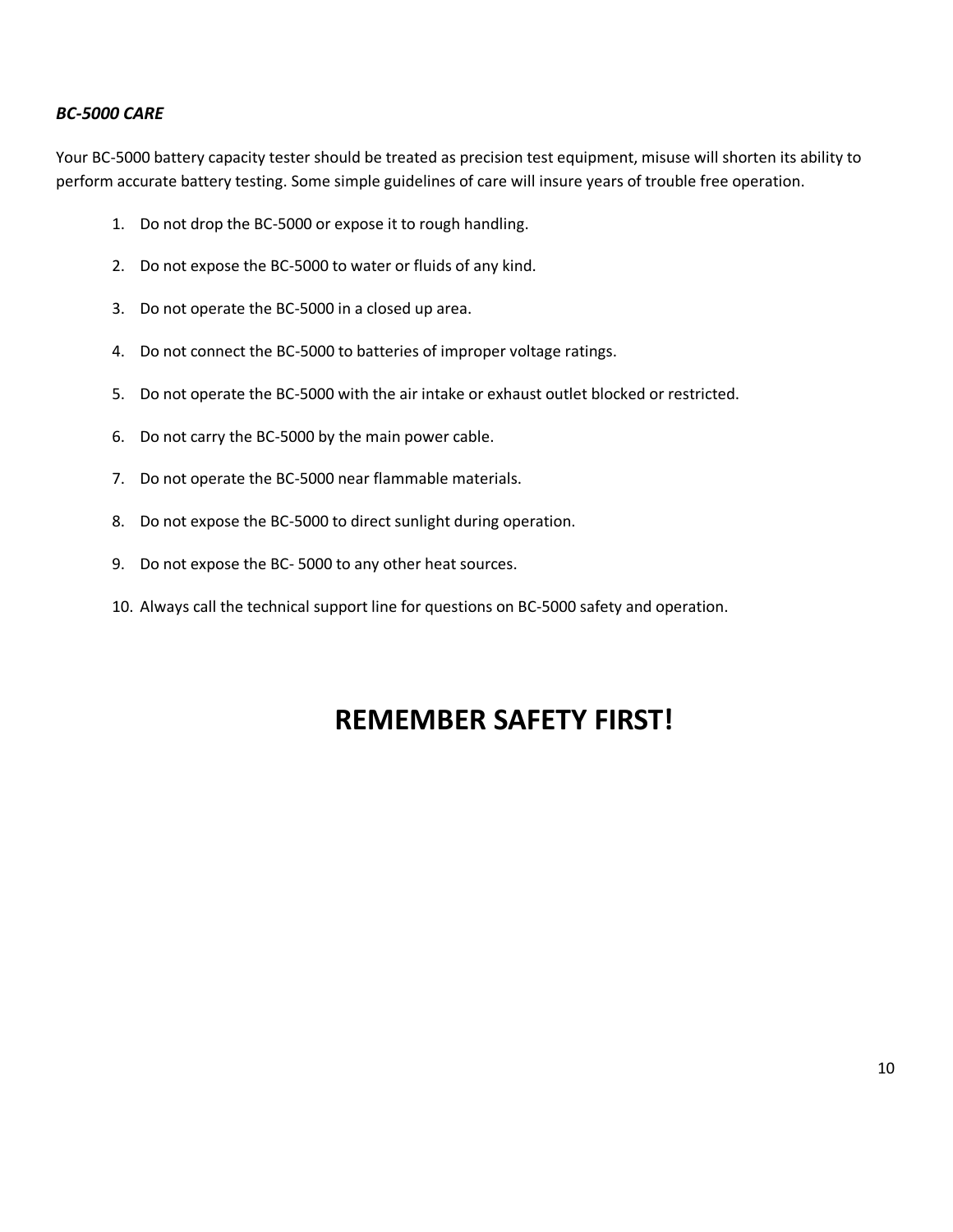### *BC-5000 CARE*

Your BC-5000 battery capacity tester should be treated as precision test equipment, misuse will shorten its ability to perform accurate battery testing. Some simple guidelines of care will insure years of trouble free operation.

- 1. Do not drop the BC-5000 or expose it to rough handling.
- 2. Do not expose the BC-5000 to water or fluids of any kind.
- 3. Do not operate the BC-5000 in a closed up area.
- 4. Do not connect the BC-5000 to batteries of improper voltage ratings.
- 5. Do not operate the BC-5000 with the air intake or exhaust outlet blocked or restricted.
- 6. Do not carry the BC-5000 by the main power cable.
- 7. Do not operate the BC-5000 near flammable materials.
- 8. Do not expose the BC-5000 to direct sunlight during operation.
- 9. Do not expose the BC- 5000 to any other heat sources.
- 10. Always call the technical support line for questions on BC-5000 safety and operation.

### **REMEMBER SAFETY FIRST!**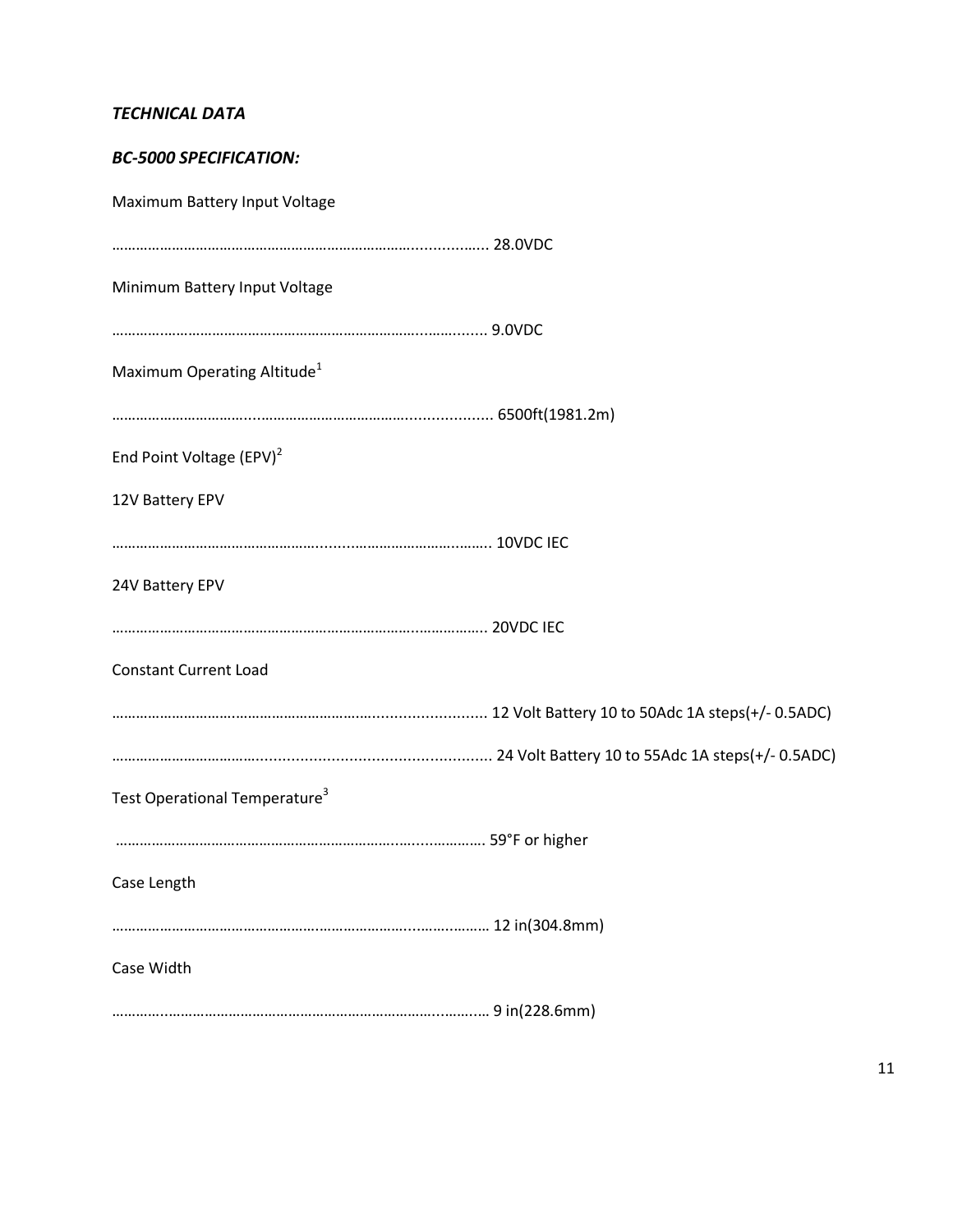### *TECHNICAL DATA*

| <b>BC-5000 SPECIFICATION:</b>             |  |
|-------------------------------------------|--|
| Maximum Battery Input Voltage             |  |
|                                           |  |
| Minimum Battery Input Voltage             |  |
|                                           |  |
| Maximum Operating Altitude <sup>1</sup>   |  |
|                                           |  |
| End Point Voltage (EPV) <sup>2</sup>      |  |
| 12V Battery EPV                           |  |
|                                           |  |
| 24V Battery EPV                           |  |
|                                           |  |
| <b>Constant Current Load</b>              |  |
|                                           |  |
|                                           |  |
| Test Operational Temperature <sup>3</sup> |  |
|                                           |  |
| Case Length                               |  |
|                                           |  |
| Case Width                                |  |
|                                           |  |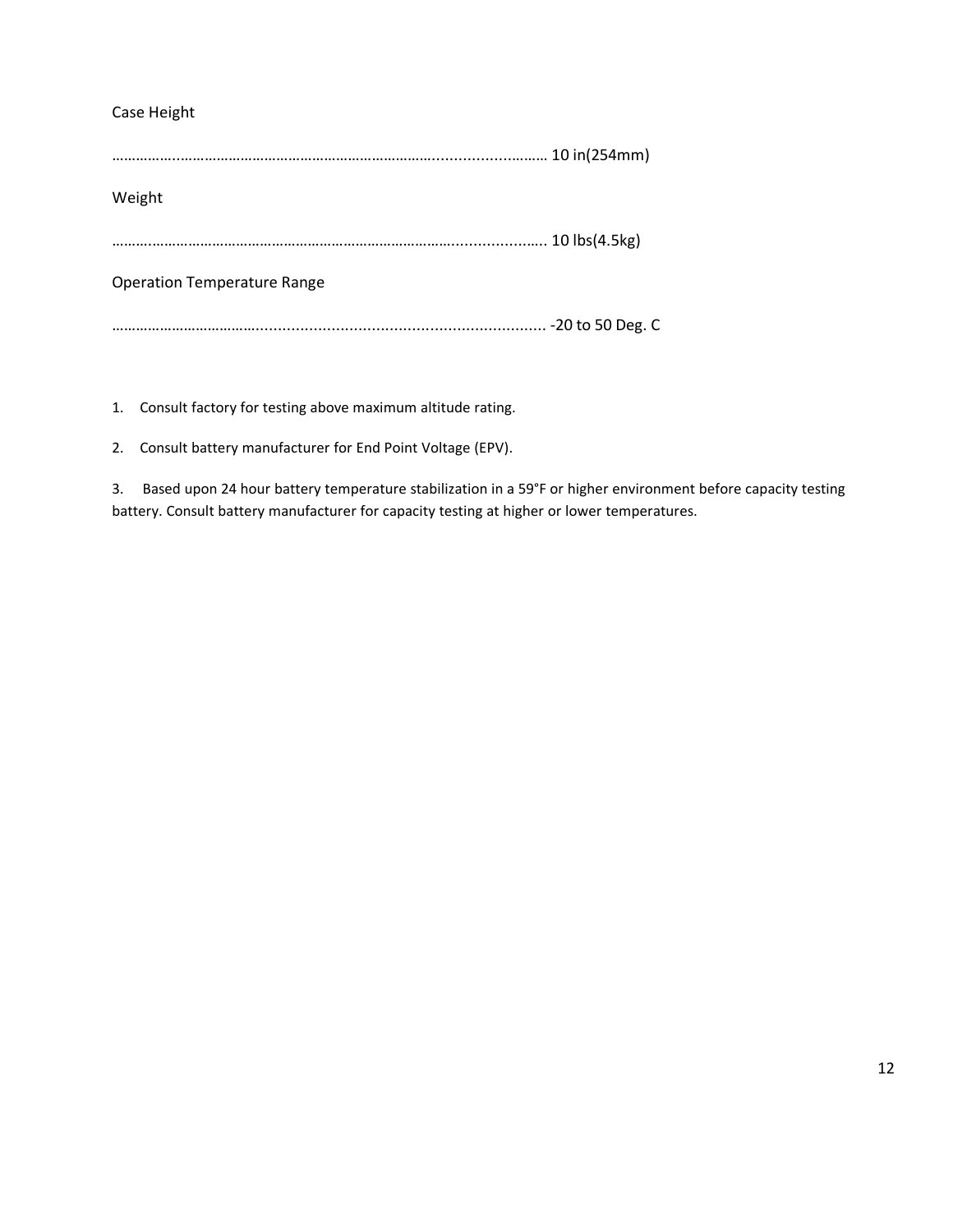### Case Height

……………..………………………………………………………..................……… 10 in(254mm) Weight

……….………………………………………………………………….................….. 10 lbs(4.5kg)

Operation Temperature Range

………………………………................................................................. -20 to 50 Deg. C

1. Consult factory for testing above maximum altitude rating.

2. Consult battery manufacturer for End Point Voltage (EPV).

3. Based upon 24 hour battery temperature stabilization in a 59°F or higher environment before capacity testing battery. Consult battery manufacturer for capacity testing at higher or lower temperatures.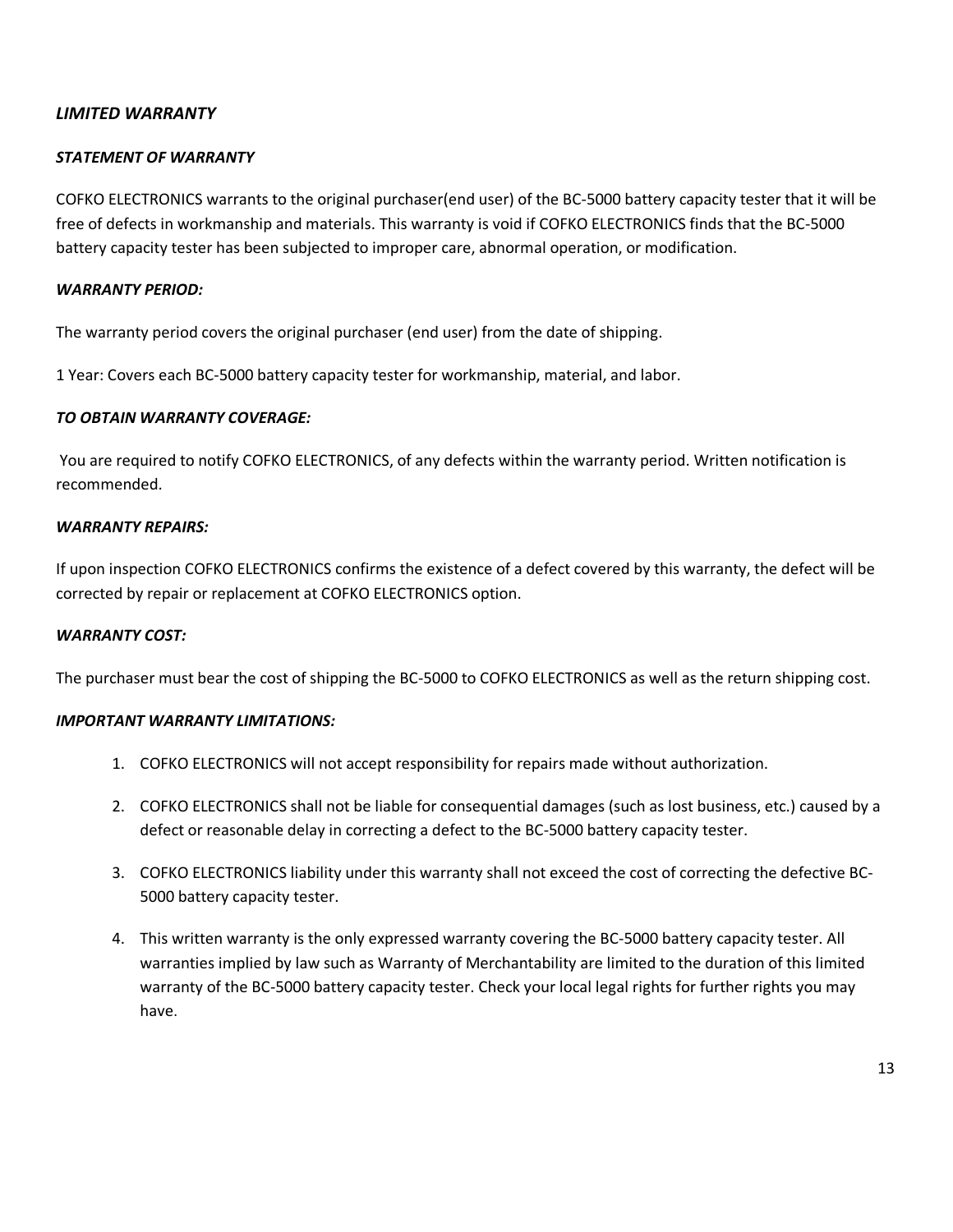### *LIMITED WARRANTY*

### *STATEMENT OF WARRANTY*

COFKO ELECTRONICS warrants to the original purchaser(end user) of the BC-5000 battery capacity tester that it will be free of defects in workmanship and materials. This warranty is void if COFKO ELECTRONICS finds that the BC-5000 battery capacity tester has been subjected to improper care, abnormal operation, or modification.

#### *WARRANTY PERIOD:*

The warranty period covers the original purchaser (end user) from the date of shipping.

1 Year: Covers each BC-5000 battery capacity tester for workmanship, material, and labor.

### *TO OBTAIN WARRANTY COVERAGE:*

 You are required to notify COFKO ELECTRONICS, of any defects within the warranty period. Written notification is recommended.

### *WARRANTY REPAIRS:*

If upon inspection COFKO ELECTRONICS confirms the existence of a defect covered by this warranty, the defect will be corrected by repair or replacement at COFKO ELECTRONICS option.

### *WARRANTY COST:*

The purchaser must bear the cost of shipping the BC-5000 to COFKO ELECTRONICS as well as the return shipping cost.

### *IMPORTANT WARRANTY LIMITATIONS:*

- 1. COFKO ELECTRONICS will not accept responsibility for repairs made without authorization.
- 2. COFKO ELECTRONICS shall not be liable for consequential damages (such as lost business, etc.) caused by a defect or reasonable delay in correcting a defect to the BC-5000 battery capacity tester.
- 3. COFKO ELECTRONICS liability under this warranty shall not exceed the cost of correcting the defective BC-5000 battery capacity tester.
- 4. This written warranty is the only expressed warranty covering the BC-5000 battery capacity tester. All warranties implied by law such as Warranty of Merchantability are limited to the duration of this limited warranty of the BC-5000 battery capacity tester. Check your local legal rights for further rights you may have.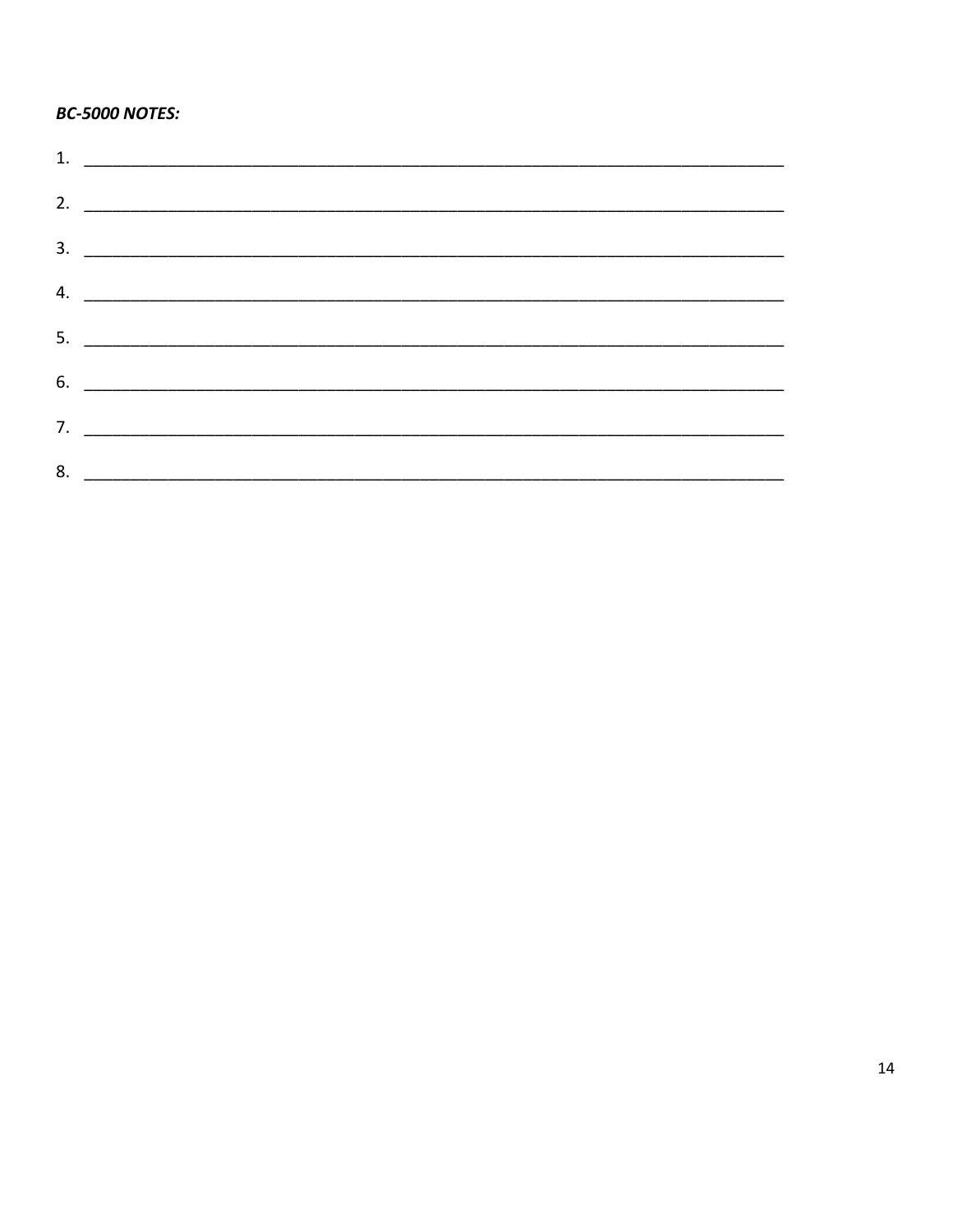### **BC-5000 NOTES:**

| 2. $\overline{\phantom{a}}$ |
|-----------------------------|
|                             |
|                             |
|                             |
|                             |
|                             |
|                             |
|                             |